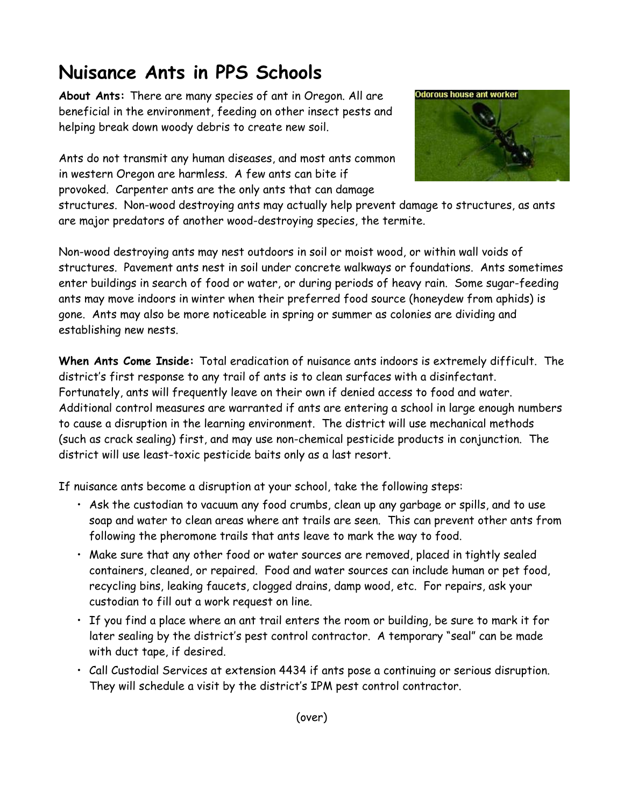## **Nuisance Ants in PPS Schools**

**About Ants:** There are many species of ant in Oregon. All are beneficial in the environment, feeding on other insect pests and helping break down woody debris to create new soil.

Ants do not transmit any human diseases, and most ants common in western Oregon are harmless. A few ants can bite if provoked. Carpenter ants are the only ants that can damage



structures. Non-wood destroying ants may actually help prevent damage to structures, as ants are major predators of another wood-destroying species, the termite.

Non-wood destroying ants may nest outdoors in soil or moist wood, or within wall voids of structures. Pavement ants nest in soil under concrete walkways or foundations. Ants sometimes enter buildings in search of food or water, or during periods of heavy rain. Some sugar-feeding ants may move indoors in winter when their preferred food source (honeydew from aphids) is gone. Ants may also be more noticeable in spring or summer as colonies are dividing and establishing new nests.

**When Ants Come Inside:** Total eradication of nuisance ants indoors is extremely difficult. The district's first response to any trail of ants is to clean surfaces with a disinfectant. Fortunately, ants will frequently leave on their own if denied access to food and water. Additional control measures are warranted if ants are entering a school in large enough numbers to cause a disruption in the learning environment. The district will use mechanical methods (such as crack sealing) first, and may use non-chemical pesticide products in conjunction. The district will use least-toxic pesticide baits only as a last resort.

If nuisance ants become a disruption at your school, take the following steps:

- Ask the custodian to vacuum any food crumbs, clean up any garbage or spills, and to use soap and water to clean areas where ant trails are seen. This can prevent other ants from following the pheromone trails that ants leave to mark the way to food.
- Make sure that any other food or water sources are removed, placed in tightly sealed containers, cleaned, or repaired. Food and water sources can include human or pet food, recycling bins, leaking faucets, clogged drains, damp wood, etc. For repairs, ask your custodian to fill out a work request on line.
- If you find a place where an ant trail enters the room or building, be sure to mark it for later sealing by the district's pest control contractor. A temporary "seal" can be made with duct tape, if desired.
- Call Custodial Services at extension 4434 if ants pose a continuing or serious disruption. They will schedule a visit by the district's IPM pest control contractor.